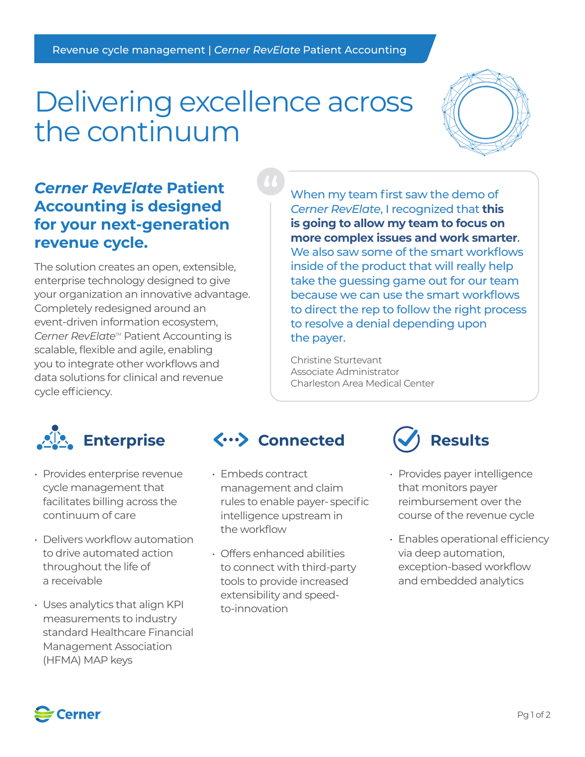# Delivering excellence across the continuum



## *Cerner RevElate* **Patient Accounting is designed for your next-generation revenue cycle.**

The solution creates an open, extensible, enterprise technology designed to give your organization an innovative advantage. Completely redesigned around an event-driven information ecosystem, *Cerner RevElate<sup>™</sup>* Patient Accounting is scalable, flexible and agile, enabling you to integrate other workflows and data solutions for clinical and revenue cycle efficiency.

When my team first saw the demo of *Cerner RevElate*, I recognized that **this is going to allow my team to focus on more complex issues and work smarter**. We also saw some of the smart workflows inside of the product that will really help take the guessing game out for our team because we can use the smart workflows to direct the rep to follow the right process to resolve a denial depending upon the payer.

Christine Sturtevant Associate Administrator Charleston Area Medical Center



- Provides enterprise revenue cycle management that facilitates billing across the continuum of care
- Delivers workflow automation to drive automated action throughout the life of a receivable
- Uses analytics that align KPI measurements to industry standard Healthcare Financial Management Association (HFMA) MAP keys

## Enterprise  $\langle \cdots \rangle$  Connected  $(\checkmark)$  Results

- Embeds contract management and claim rules to enable payer- specific intelligence upstream in the workflow
- Offers enhanced abilities to connect with third-party tools to provide increased extensibility and speedto-innovation



- Provides payer intelligence that monitors payer reimbursement over the course of the revenue cycle
- Enables operational efficiency via deep automation, exception-based workflow and embedded analytics